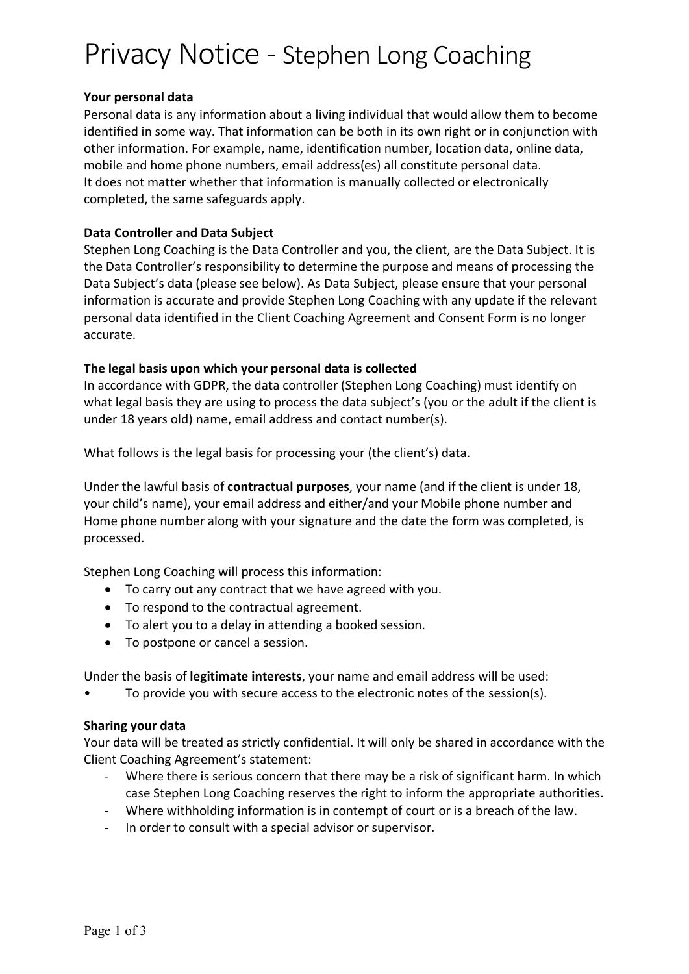# Privacy Notice - Stephen Long Coaching

### **Your personal data**

Personal data is any information about a living individual that would allow them to become identified in some way. That information can be both in its own right or in conjunction with other information. For example, name, identification number, location data, online data, mobile and home phone numbers, email address(es) all constitute personal data. It does not matter whether that information is manually collected or electronically completed, the same safeguards apply.

## **Data Controller and Data Subject**

Stephen Long Coaching is the Data Controller and you, the client, are the Data Subject. It is the Data Controller's responsibility to determine the purpose and means of processing the Data Subject's data (please see below). As Data Subject, please ensure that your personal information is accurate and provide Stephen Long Coaching with any update if the relevant personal data identified in the Client Coaching Agreement and Consent Form is no longer accurate.

## **The legal basis upon which your personal data is collected**

In accordance with GDPR, the data controller (Stephen Long Coaching) must identify on what legal basis they are using to process the data subject's (you or the adult if the client is under 18 years old) name, email address and contact number(s).

What follows is the legal basis for processing your (the client's) data.

Under the lawful basis of **contractual purposes**, your name (and if the client is under 18, your child's name), your email address and either/and your Mobile phone number and Home phone number along with your signature and the date the form was completed, is processed.

Stephen Long Coaching will process this information:

- To carry out any contract that we have agreed with you.
- To respond to the contractual agreement.
- To alert you to a delay in attending a booked session.
- To postpone or cancel a session.

Under the basis of **legitimate interests**, your name and email address will be used:

• To provide you with secure access to the electronic notes of the session(s).

#### **Sharing your data**

Your data will be treated as strictly confidential. It will only be shared in accordance with the Client Coaching Agreement's statement:

- Where there is serious concern that there may be a risk of significant harm. In which case Stephen Long Coaching reserves the right to inform the appropriate authorities.
- Where withholding information is in contempt of court or is a breach of the law.
- In order to consult with a special advisor or supervisor.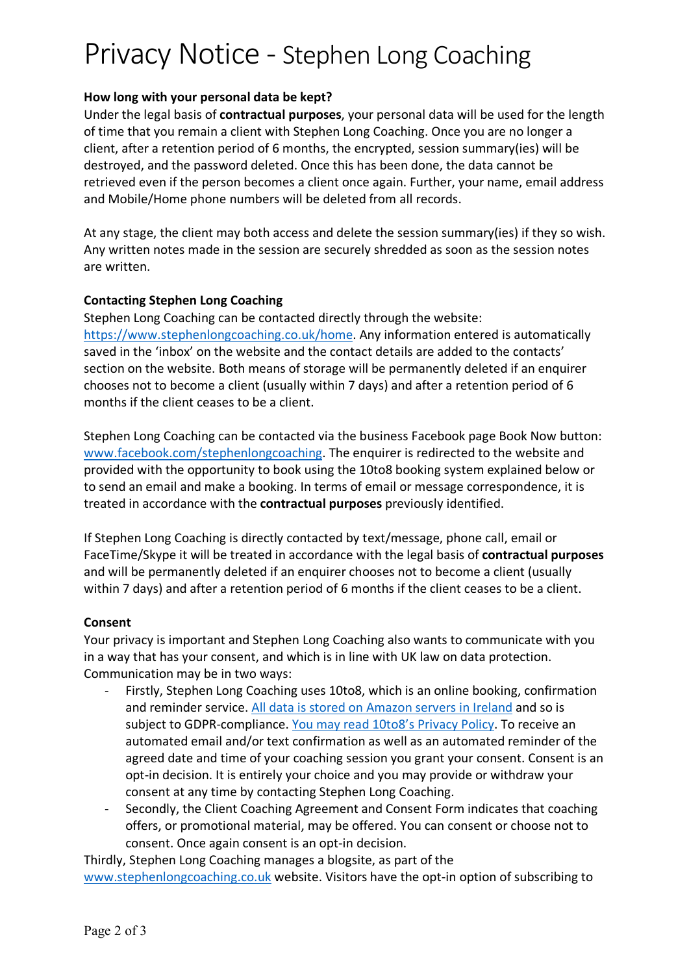## Privacy Notice - Stephen Long Coaching

## **How long with your personal data be kept?**

Under the legal basis of **contractual purposes**, your personal data will be used for the length of time that you remain a client with Stephen Long Coaching. Once you are no longer a client, after a retention period of 6 months, the encrypted, session summary(ies) will be destroyed, and the password deleted. Once this has been done, the data cannot be retrieved even if the person becomes a client once again. Further, your name, email address and Mobile/Home phone numbers will be deleted from all records.

At any stage, the client may both access and delete the session summary(ies) if they so wish. Any written notes made in the session are securely shredded as soon as the session notes are written.

#### **Contacting Stephen Long Coaching**

Stephen Long Coaching can be contacted directly through the website: https://www.stephenlongcoaching.co.uk/home. Any information entered is automatically saved in the 'inbox' on the website and the contact details are added to the contacts' section on the website. Both means of storage will be permanently deleted if an enquirer chooses not to become a client (usually within 7 days) and after a retention period of 6 months if the client ceases to be a client.

Stephen Long Coaching can be contacted via the business Facebook page Book Now button: www.facebook.com/stephenlongcoaching. The enquirer is redirected to the website and provided with the opportunity to book using the 10to8 booking system explained below or to send an email and make a booking. In terms of email or message correspondence, it is treated in accordance with the **contractual purposes** previously identified.

If Stephen Long Coaching is directly contacted by text/message, phone call, email or FaceTime/Skype it will be treated in accordance with the legal basis of **contractual purposes** and will be permanently deleted if an enquirer chooses not to become a client (usually within 7 days) and after a retention period of 6 months if the client ceases to be a client.

#### **Consent**

Your privacy is important and Stephen Long Coaching also wants to communicate with you in a way that has your consent, and which is in line with UK law on data protection. Communication may be in two ways:

- Firstly, Stephen Long Coaching uses 10to8, which is an online booking, confirmation and reminder service. All data is stored on Amazon servers in Ireland and so is subject to GDPR-compliance. You may read 10to8's Privacy Policy. To receive an automated email and/or text confirmation as well as an automated reminder of the agreed date and time of your coaching session you grant your consent. Consent is an opt-in decision. It is entirely your choice and you may provide or withdraw your consent at any time by contacting Stephen Long Coaching.
- Secondly, the Client Coaching Agreement and Consent Form indicates that coaching offers, or promotional material, may be offered. You can consent or choose not to consent. Once again consent is an opt-in decision.

Thirdly, Stephen Long Coaching manages a blogsite, as part of the www.stephenlongcoaching.co.uk website. Visitors have the opt-in option of subscribing to